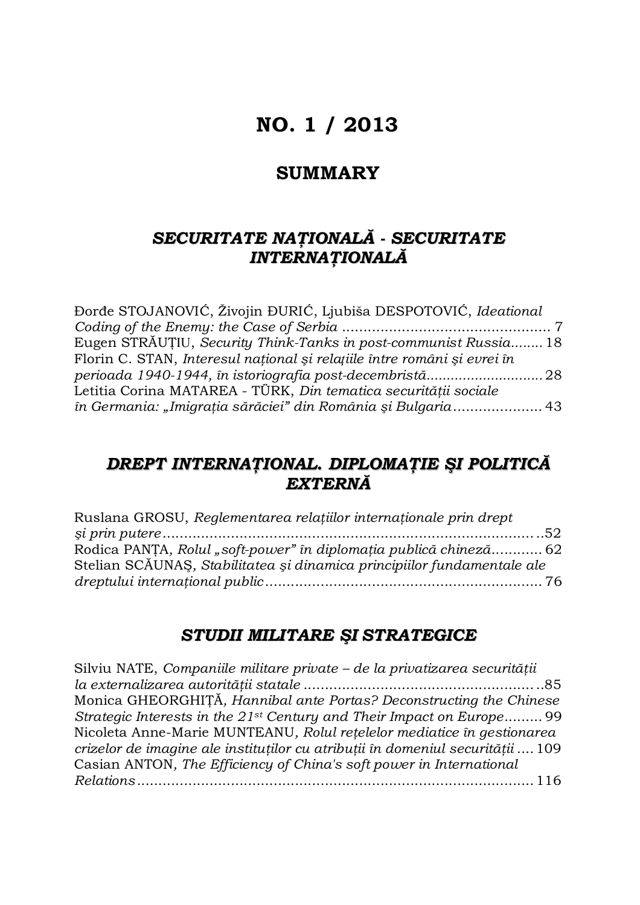# **NO. 1 / 2013**

## **SUMMARY**

## *SECURITATE NAŢIONALĂ - SECURITATE INTERNAŢIONALĂ*

| Đorđe STOJANOVIĆ, Živojin ĐURIĆ, Ljubiša DESPOTOVIĆ, Ideational          |  |
|--------------------------------------------------------------------------|--|
|                                                                          |  |
| Eugen STRĂUȚIU, Security Think-Tanks in post-communist Russia 18         |  |
| Florin C. STAN, Interesul național și relațiile între români și evrei în |  |
|                                                                          |  |
| Letitia Corina MATAREA - TÜRK, Din tematica securității sociale          |  |
| în Germania: "Imigrația sărăciei" din România și Bulgaria 43             |  |

## *DREPT INTERNAŢIONAL. DIPLOMAŢIE ŞI POLITICĂ EXTERNĂ*

| Ruslana GROSU, Reglementarea relațiilor internaționale prin drept       |  |
|-------------------------------------------------------------------------|--|
|                                                                         |  |
| Rodica PANTA, Rolul "soft-power" în diplomația publică chineză 62       |  |
| Stelian SCĂUNAȘ, Stabilitatea și dinamica principiilor fundamentale ale |  |
|                                                                         |  |

# *STUDII MILITARE ŞI STRATEGICE*

| Silviu NATE, Companiile militare private - de la privatizarea securității         |  |
|-----------------------------------------------------------------------------------|--|
|                                                                                   |  |
| Monica GHEORGHITĂ, Hannibal ante Portas? Deconstructing the Chinese               |  |
| Strategic Interests in the 21 <sup>st</sup> Century and Their Impact on Europe 99 |  |
| Nicoleta Anne-Marie MUNTEANU, Rolul rețelelor mediatice în gestionarea            |  |
| crizelor de imagine ale instituților cu atribuții în domeniul securității 109     |  |
| Casian ANTON, The Efficiency of China's soft power in International               |  |
|                                                                                   |  |
|                                                                                   |  |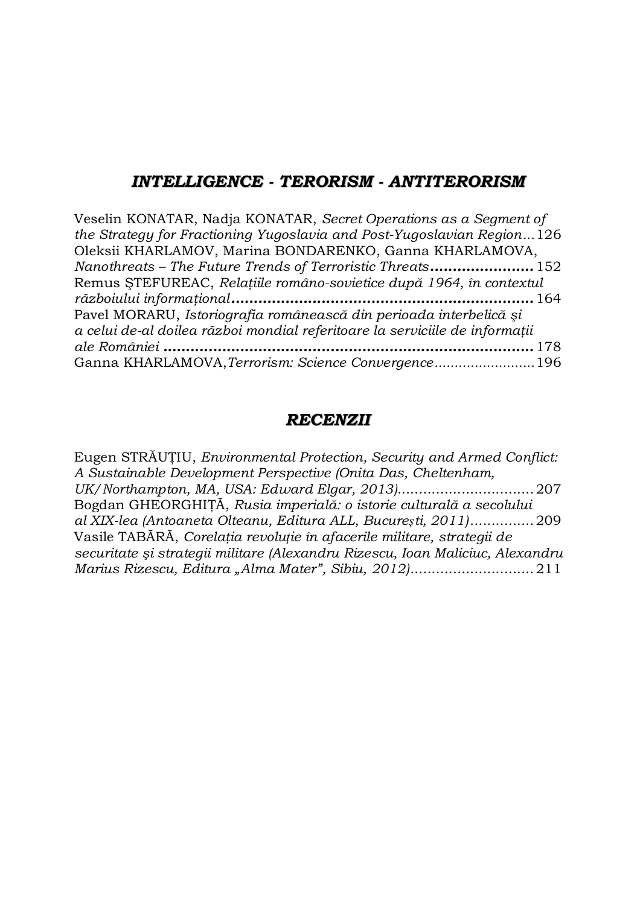### *INTELLIGENCE - TERORISM - ANTITERORISM*

| Veselin KONATAR, Nadja KONATAR, Secret Operations as a Segment of           |
|-----------------------------------------------------------------------------|
| the Strategy for Fractioning Yugoslavia and Post-Yugoslavian Region126      |
| Oleksii KHARLAMOV, Marina BONDARENKO, Ganna KHARLAMOVA,                     |
| Nanothreats - The Future Trends of Terroristic Threats 152                  |
| Remus STEFUREAC, Relațiile româno-sovietice după 1964, în contextul         |
|                                                                             |
| Pavel MORARU, Istoriografia românească din perioada interbelică și          |
| a celui de-al doilea război mondial referitoare la serviciile de informații |
|                                                                             |
| Ganna KHARLAMOVA, Terrorism: Science Convergence196                         |

### *RECENZII*

Eugen STRĂUŢIU, *Environmental Protection, Security and Armed Conflict: A Sustainable Development Perspective (Onita Das, Cheltenham, UK/Northampton, MA, USA: Edward Elgar, 2013)*................................207 Bogdan GHEORGHIŢĂ, *Rusia imperială: o istorie culturală a secolului al XIX-lea (Antoaneta Olteanu, Editura ALL, Bucureşti, 2011)*...............209 Vasile TABĂRĂ, *Corelaţia revoluţie în afacerile militare, strategii de securitate şi strategii militare (Alexandru Rizescu, Ioan Maliciuc, Alexandru Marius Rizescu, Editura "Alma Mater", Sibiu, 2012)*.............................211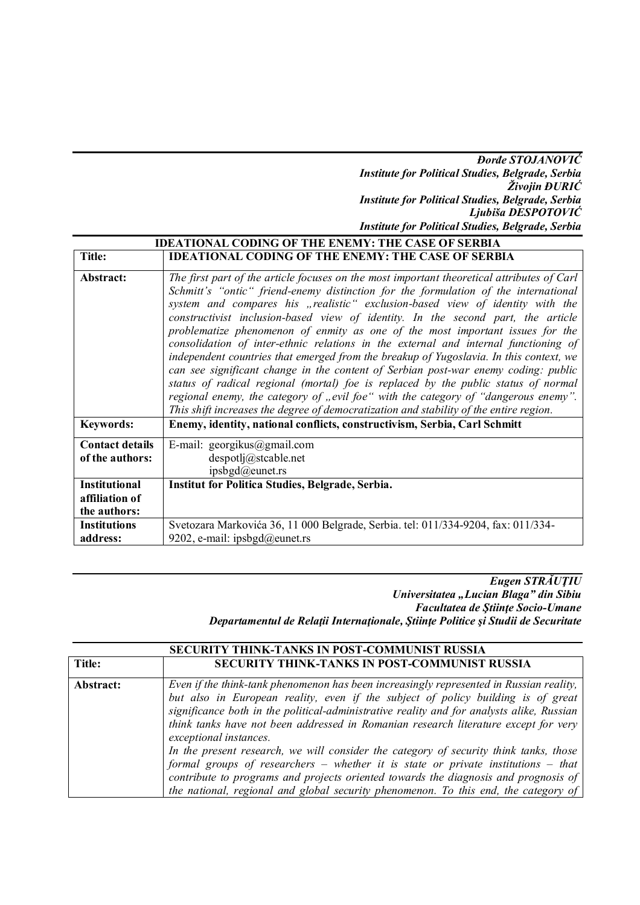#### *Đorđe STOJANOVIĆ Institute for Political Studies, Belgrade, Serbia Živojin ĐURIĆ Institute for Political Studies, Belgrade, Serbia Ljubiša DESPOTOVIĆ Institute for Political Studies, Belgrade, Serbia*

| <b>IDEATIONAL CODING OF THE ENEMY: THE CASE OF SERBIA</b> |                                                                                                                                                                                                                                                                                                                                                                                                                                                                                                                                                                                                                                                                                                                                                                                                                                                                                                                                                                                      |
|-----------------------------------------------------------|--------------------------------------------------------------------------------------------------------------------------------------------------------------------------------------------------------------------------------------------------------------------------------------------------------------------------------------------------------------------------------------------------------------------------------------------------------------------------------------------------------------------------------------------------------------------------------------------------------------------------------------------------------------------------------------------------------------------------------------------------------------------------------------------------------------------------------------------------------------------------------------------------------------------------------------------------------------------------------------|
| Title:                                                    | <b>IDEATIONAL CODING OF THE ENEMY: THE CASE OF SERBIA</b>                                                                                                                                                                                                                                                                                                                                                                                                                                                                                                                                                                                                                                                                                                                                                                                                                                                                                                                            |
| Abstract:                                                 | The first part of the article focuses on the most important theoretical attributes of Carl<br>Schmitt's "ontic" friend-enemy distinction for the formulation of the international<br>system and compares his "realistic" exclusion-based view of identity with the<br>constructivist inclusion-based view of identity. In the second part, the article<br>problematize phenomenon of enmity as one of the most important issues for the<br>consolidation of inter-ethnic relations in the external and internal functioning of<br>independent countries that emerged from the breakup of Yugoslavia. In this context, we<br>can see significant change in the content of Serbian post-war enemy coding: public<br>status of radical regional (mortal) foe is replaced by the public status of normal<br>regional enemy, the category of "evil foe" with the category of "dangerous enemy".<br>This shift increases the degree of democratization and stability of the entire region. |
| <b>Keywords:</b>                                          | Enemy, identity, national conflicts, constructivism, Serbia, Carl Schmitt                                                                                                                                                                                                                                                                                                                                                                                                                                                                                                                                                                                                                                                                                                                                                                                                                                                                                                            |
| <b>Contact details</b><br>of the authors:                 | E-mail: georgikus@gmail.com<br>despotlj@stcable.net<br>ipsbgd@eunet.rs                                                                                                                                                                                                                                                                                                                                                                                                                                                                                                                                                                                                                                                                                                                                                                                                                                                                                                               |
| <b>Institutional</b><br>affiliation of<br>the authors:    | Institut for Politica Studies, Belgrade, Serbia.                                                                                                                                                                                                                                                                                                                                                                                                                                                                                                                                                                                                                                                                                                                                                                                                                                                                                                                                     |
| <b>Institutions</b><br>address:                           | Svetozara Markovića 36, 11 000 Belgrade, Serbia. tel: 011/334-9204, fax: 011/334-<br>9202, e-mail: ipsbgd@eunet.rs                                                                                                                                                                                                                                                                                                                                                                                                                                                                                                                                                                                                                                                                                                                                                                                                                                                                   |

*Eugen STRĂUŢIU Universitatea "Lucian Blaga" din Sibiu Facultatea de Ştiinţe Socio-Umane Departamentul de Relaţii Internaţionale, Ştiinţe Politice şi Studii de Securitate*

|           | <b>SECURITY THINK-TANKS IN POST-COMMUNIST RUSSIA</b>                                                                                                                                                                                                                                                                                                                                                                                                                                                                                                                                                                                                                                                                                                      |
|-----------|-----------------------------------------------------------------------------------------------------------------------------------------------------------------------------------------------------------------------------------------------------------------------------------------------------------------------------------------------------------------------------------------------------------------------------------------------------------------------------------------------------------------------------------------------------------------------------------------------------------------------------------------------------------------------------------------------------------------------------------------------------------|
| Title:    | <b>SECURITY THINK-TANKS IN POST-COMMUNIST RUSSIA</b>                                                                                                                                                                                                                                                                                                                                                                                                                                                                                                                                                                                                                                                                                                      |
| Abstract: | Even if the think-tank phenomenon has been increasingly represented in Russian reality,<br>but also in European reality, even if the subject of policy building is of great<br>significance both in the political-administrative reality and for analysts alike, Russian<br>think tanks have not been addressed in Romanian research literature except for very<br>exceptional instances.<br>In the present research, we will consider the category of security think tanks, those<br>formal groups of researchers $-$ whether it is state or private institutions $-$ that<br>contribute to programs and projects oriented towards the diagnosis and prognosis of<br>the national, regional and global security phenomenon. To this end, the category of |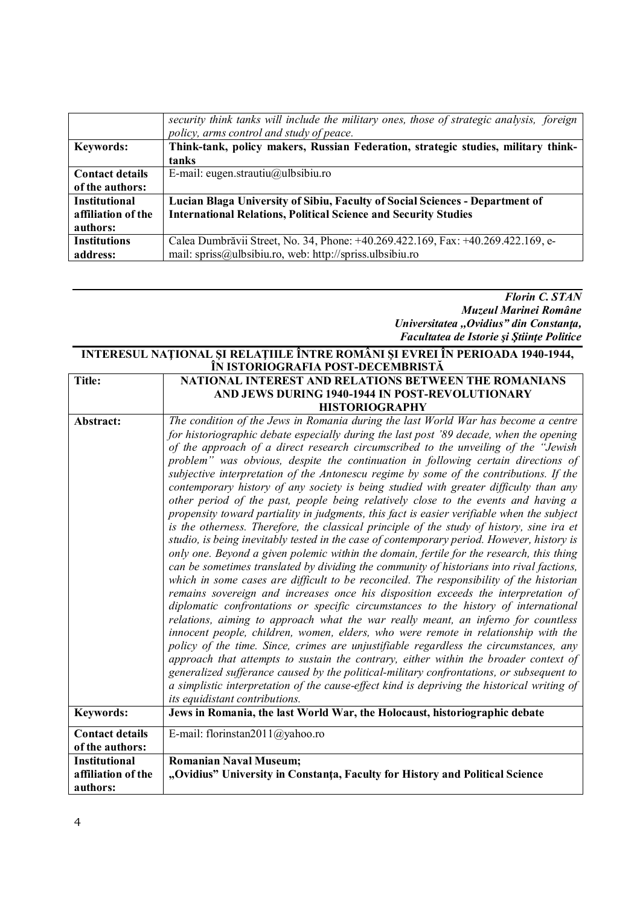|                        | security think tanks will include the military ones, those of strategic analysis, foreign |
|------------------------|-------------------------------------------------------------------------------------------|
|                        | policy, arms control and study of peace.                                                  |
| <b>Keywords:</b>       | Think-tank, policy makers, Russian Federation, strategic studies, military think-         |
|                        | tanks                                                                                     |
| <b>Contact details</b> | E-mail: eugen.strautiu@ulbsibiu.ro                                                        |
| of the authors:        |                                                                                           |
| <b>Institutional</b>   | Lucian Blaga University of Sibiu, Faculty of Social Sciences - Department of              |
| affiliation of the     | <b>International Relations, Political Science and Security Studies</b>                    |
| authors:               |                                                                                           |
| <b>Institutions</b>    | Calea Dumbrăvii Street, No. 34, Phone: +40.269.422.169, Fax: +40.269.422.169, e-          |
| address:               | mail: spriss@ulbsibiu.ro, web: http://spriss.ulbsibiu.ro                                  |

*Florin C. STAN Muzeul Marinei Române Universitatea ,,Ovidius" din Constanţa, Facultatea de Istorie şi Ştiinţe Politice*

#### **INTERESUL NAŢIONAL ŞI RELAŢIILE ÎNTRE ROMÂNI ŞI EVREI ÎN PERIOADA 1940-1944, ÎN ISTORIOGRAFIA POST-DECEMBRISTĂ**

| Title:                                     | NATIONAL INTEREST AND RELATIONS BETWEEN THE ROMANIANS                                                         |
|--------------------------------------------|---------------------------------------------------------------------------------------------------------------|
|                                            | AND JEWS DURING 1940-1944 IN POST-REVOLUTIONARY                                                               |
|                                            | <b>HISTORIOGRAPHY</b>                                                                                         |
| Abstract:                                  | The condition of the Jews in Romania during the last World War has become a centre                            |
|                                            | for historiographic debate especially during the last post '89 decade, when the opening                       |
|                                            | of the approach of a direct research circumscribed to the unveiling of the "Jewish"                           |
|                                            | problem" was obvious, despite the continuation in following certain directions of                             |
|                                            | subjective interpretation of the Antonescu regime by some of the contributions. If the                        |
|                                            | contemporary history of any society is being studied with greater difficulty than any                         |
|                                            | other period of the past, people being relatively close to the events and having a                            |
|                                            | propensity toward partiality in judgments, this fact is easier verifiable when the subject                    |
|                                            | is the otherness. Therefore, the classical principle of the study of history, sine ira et                     |
|                                            | studio, is being inevitably tested in the case of contemporary period. However, history is                    |
|                                            | only one. Beyond a given polemic within the domain, fertile for the research, this thing                      |
|                                            | can be sometimes translated by dividing the community of historians into rival factions,                      |
|                                            | which in some cases are difficult to be reconciled. The responsibility of the historian                       |
|                                            | remains sovereign and increases once his disposition exceeds the interpretation of                            |
|                                            | diplomatic confrontations or specific circumstances to the history of international                           |
|                                            | relations, aiming to approach what the war really meant, an inferno for countless                             |
|                                            | innocent people, children, women, elders, who were remote in relationship with the                            |
|                                            | policy of the time. Since, crimes are unjustifiable regardless the circumstances, any                         |
|                                            | approach that attempts to sustain the contrary, either within the broader context of                          |
|                                            | generalized sufferance caused by the political-military confrontations, or subsequent to                      |
|                                            | a simplistic interpretation of the cause-effect kind is depriving the historical writing of                   |
|                                            | its equidistant contributions.                                                                                |
| <b>Keywords:</b>                           | Jews in Romania, the last World War, the Holocaust, historiographic debate                                    |
| <b>Contact details</b>                     | E-mail: florinstan2011@yahoo.ro                                                                               |
| of the authors:                            |                                                                                                               |
|                                            |                                                                                                               |
|                                            |                                                                                                               |
| authors:                                   |                                                                                                               |
| <b>Institutional</b><br>affiliation of the | <b>Romanian Naval Museum;</b><br>"Ovidius" University in Constanța, Faculty for History and Political Science |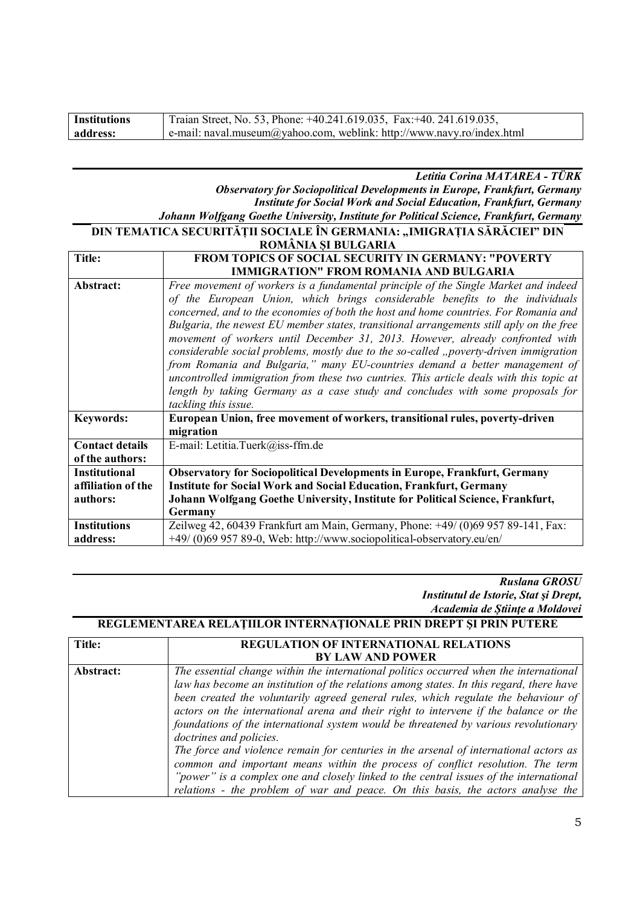| <b>Institutions</b> | Traian Street, No. 53, Phone: +40.241.619.035, Fax: +40. 241.619.035,      |
|---------------------|----------------------------------------------------------------------------|
| address:            | $ e$ -mail: naval.museum@yahoo.com, weblink: http://www.navy.ro/index.html |

*Letitia Corina MATAREA - TÜRK Observatory for Sociopolitical Developments in Europe, Frankfurt, Germany Institute for Social Work and Social Education, Frankfurt, Germany Johann Wolfgang Goethe University, Institute for Political Science, Frankfurt, Germany*

#### **DIN TEMATICA SECURITĂȚII SOCIALE ÎN GERMANIA: "IMIGRAȚIA SĂRĂCIEI" DIN ROMÂNIA ȘI BULGARIA**

| Title:                 | <b>FROM TOPICS OF SOCIAL SECURITY IN GERMANY: "POVERTY</b>                              |
|------------------------|-----------------------------------------------------------------------------------------|
|                        | <b>IMMIGRATION" FROM ROMANIA AND BULGARIA</b>                                           |
| Abstract:              | Free movement of workers is a fundamental principle of the Single Market and indeed     |
|                        | of the European Union, which brings considerable benefits to the individuals            |
|                        | concerned, and to the economies of both the host and home countries. For Romania and    |
|                        | Bulgaria, the newest EU member states, transitional arrangements still aply on the free |
|                        | movement of workers until December 31, 2013. However, already confronted with           |
|                        | considerable social problems, mostly due to the so-called "poverty-driven immigration   |
|                        | from Romania and Bulgaria," many EU-countries demand a better management of             |
|                        | uncontrolled immigration from these two cuntries. This article deals with this topic at |
|                        | length by taking Germany as a case study and concludes with some proposals for          |
|                        | tackling this issue.                                                                    |
| <b>Keywords:</b>       | European Union, free movement of workers, transitional rules, poverty-driven            |
|                        | migration                                                                               |
| <b>Contact details</b> | E-mail: Letitia.Tuerk@iss-ffm.de                                                        |
| of the authors:        |                                                                                         |
| <b>Institutional</b>   | <b>Observatory for Sociopolitical Developments in Europe, Frankfurt, Germany</b>        |
| affiliation of the     | <b>Institute for Social Work and Social Education, Frankfurt, Germany</b>               |
| authors:               | Johann Wolfgang Goethe University, Institute for Political Science, Frankfurt,          |
|                        | Germany                                                                                 |
| <b>Institutions</b>    | Zeilweg 42, 60439 Frankfurt am Main, Germany, Phone: +49/ (0)69 957 89-141, Fax:        |
| address:               | +49/ (0)69 957 89-0, Web: http://www.sociopolitical-observatory.eu/en/                  |

*Ruslana GROSU Institutul de Istorie, Stat şi Drept, Academia de Știinţe a Moldovei*

**REGLEMENTAREA RELAŢIILOR INTERNAŢIONALE PRIN DREPT ŞI PRIN PUTERE**

| Title:    | REGULATION OF INTERNATIONAL RELATIONS                                                                                                                                                                                                                                                                                                                                                                                                                                                                                                                                                                                                                                                                                                                                                                                                      |
|-----------|--------------------------------------------------------------------------------------------------------------------------------------------------------------------------------------------------------------------------------------------------------------------------------------------------------------------------------------------------------------------------------------------------------------------------------------------------------------------------------------------------------------------------------------------------------------------------------------------------------------------------------------------------------------------------------------------------------------------------------------------------------------------------------------------------------------------------------------------|
|           | <b>BY LAW AND POWER</b>                                                                                                                                                                                                                                                                                                                                                                                                                                                                                                                                                                                                                                                                                                                                                                                                                    |
| Abstract: | The essential change within the international politics occurred when the international<br>law has become an institution of the relations among states. In this regard, there have<br>been created the voluntarily agreed general rules, which regulate the behaviour of<br>actors on the international arena and their right to intervene if the balance or the<br>foundations of the international system would be threatened by various revolutionary<br>doctrines and policies.<br>The force and violence remain for centuries in the arsenal of international actors as<br>common and important means within the process of conflict resolution. The term<br>"power" is a complex one and closely linked to the central issues of the international<br>relations - the problem of war and peace. On this basis, the actors analyse the |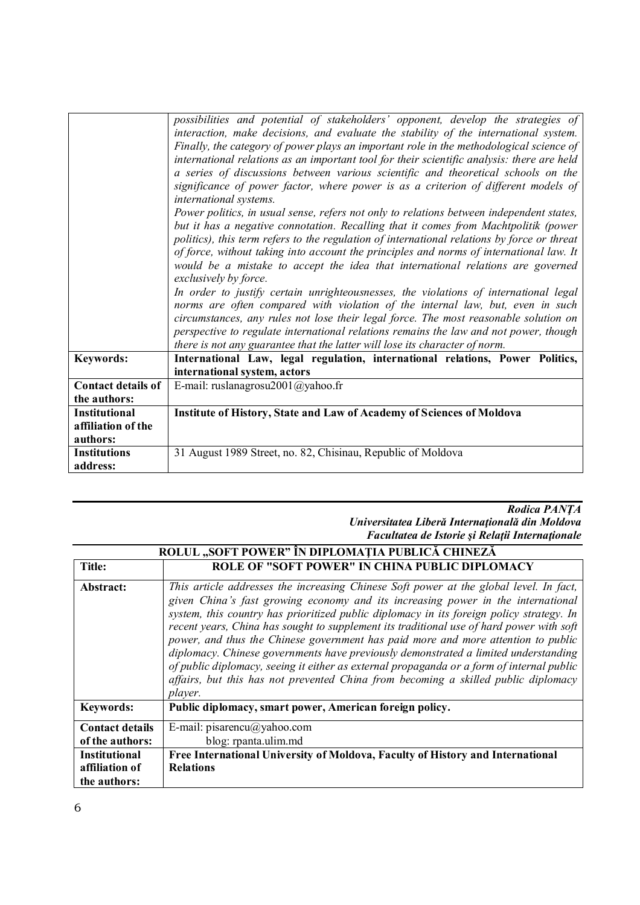|                           | possibilities and potential of stakeholders' opponent, develop the strategies of<br>interaction, make decisions, and evaluate the stability of the international system.<br>Finally, the category of power plays an important role in the methodological science of<br>international relations as an important tool for their scientific analysis: there are held<br>a series of discussions between various scientific and theoretical schools on the<br>significance of power factor, where power is as a criterion of different models of<br>international systems.<br>Power politics, in usual sense, refers not only to relations between independent states,<br>but it has a negative connotation. Recalling that it comes from Machtpolitik (power<br>politics), this term refers to the regulation of international relations by force or threat<br>of force, without taking into account the principles and norms of international law. It<br>would be a mistake to accept the idea that international relations are governed<br>exclusively by force.<br>In order to justify certain unrighteousnesses, the violations of international legal<br>norms are often compared with violation of the internal law, but, even in such<br>circumstances, any rules not lose their legal force. The most reasonable solution on<br>perspective to regulate international relations remains the law and not power, though |
|---------------------------|----------------------------------------------------------------------------------------------------------------------------------------------------------------------------------------------------------------------------------------------------------------------------------------------------------------------------------------------------------------------------------------------------------------------------------------------------------------------------------------------------------------------------------------------------------------------------------------------------------------------------------------------------------------------------------------------------------------------------------------------------------------------------------------------------------------------------------------------------------------------------------------------------------------------------------------------------------------------------------------------------------------------------------------------------------------------------------------------------------------------------------------------------------------------------------------------------------------------------------------------------------------------------------------------------------------------------------------------------------------------------------------------------------------------------|
| <b>Keywords:</b>          | there is not any guarantee that the latter will lose its character of norm.<br>International Law, legal regulation, international relations, Power Politics,                                                                                                                                                                                                                                                                                                                                                                                                                                                                                                                                                                                                                                                                                                                                                                                                                                                                                                                                                                                                                                                                                                                                                                                                                                                               |
|                           | international system, actors                                                                                                                                                                                                                                                                                                                                                                                                                                                                                                                                                                                                                                                                                                                                                                                                                                                                                                                                                                                                                                                                                                                                                                                                                                                                                                                                                                                               |
| <b>Contact details of</b> | E-mail: ruslanagrosu2001@yahoo.fr                                                                                                                                                                                                                                                                                                                                                                                                                                                                                                                                                                                                                                                                                                                                                                                                                                                                                                                                                                                                                                                                                                                                                                                                                                                                                                                                                                                          |
| the authors:              |                                                                                                                                                                                                                                                                                                                                                                                                                                                                                                                                                                                                                                                                                                                                                                                                                                                                                                                                                                                                                                                                                                                                                                                                                                                                                                                                                                                                                            |
| <b>Institutional</b>      | Institute of History, State and Law of Academy of Sciences of Moldova                                                                                                                                                                                                                                                                                                                                                                                                                                                                                                                                                                                                                                                                                                                                                                                                                                                                                                                                                                                                                                                                                                                                                                                                                                                                                                                                                      |
| affiliation of the        |                                                                                                                                                                                                                                                                                                                                                                                                                                                                                                                                                                                                                                                                                                                                                                                                                                                                                                                                                                                                                                                                                                                                                                                                                                                                                                                                                                                                                            |
| authors:                  |                                                                                                                                                                                                                                                                                                                                                                                                                                                                                                                                                                                                                                                                                                                                                                                                                                                                                                                                                                                                                                                                                                                                                                                                                                                                                                                                                                                                                            |
| <b>Institutions</b>       | 31 August 1989 Street, no. 82, Chisinau, Republic of Moldova                                                                                                                                                                                                                                                                                                                                                                                                                                                                                                                                                                                                                                                                                                                                                                                                                                                                                                                                                                                                                                                                                                                                                                                                                                                                                                                                                               |
| address:                  |                                                                                                                                                                                                                                                                                                                                                                                                                                                                                                                                                                                                                                                                                                                                                                                                                                                                                                                                                                                                                                                                                                                                                                                                                                                                                                                                                                                                                            |

#### *Rodica PANŢA Universitatea Liberă Internaţională din Moldova Facultatea de Istorie şi Relaţii Internaţionale*

| ROLUL "SOFT POWER" ÎN DIPLOMAȚIA PUBLICĂ CHINEZĂ |                                                                                                                                                                                                                                                                                                                                                                                                                                                                                                                                                                                                                                                                                                                                                     |
|--------------------------------------------------|-----------------------------------------------------------------------------------------------------------------------------------------------------------------------------------------------------------------------------------------------------------------------------------------------------------------------------------------------------------------------------------------------------------------------------------------------------------------------------------------------------------------------------------------------------------------------------------------------------------------------------------------------------------------------------------------------------------------------------------------------------|
| Title:                                           | <b>ROLE OF "SOFT POWER" IN CHINA PUBLIC DIPLOMACY</b>                                                                                                                                                                                                                                                                                                                                                                                                                                                                                                                                                                                                                                                                                               |
| Abstract:                                        | This article addresses the increasing Chinese Soft power at the global level. In fact,<br>given China's fast growing economy and its increasing power in the international<br>system, this country has prioritized public diplomacy in its foreign policy strategy. In<br>recent years, China has sought to supplement its traditional use of hard power with soft<br>power, and thus the Chinese government has paid more and more attention to public<br>diplomacy. Chinese governments have previously demonstrated a limited understanding<br>of public diplomacy, seeing it either as external propaganda or a form of internal public<br>affairs, but this has not prevented China from becoming a skilled public diplomacy<br><i>player.</i> |
| <b>Keywords:</b>                                 | Public diplomacy, smart power, American foreign policy.                                                                                                                                                                                                                                                                                                                                                                                                                                                                                                                                                                                                                                                                                             |
| <b>Contact details</b>                           | E-mail: pisarencu@yahoo.com                                                                                                                                                                                                                                                                                                                                                                                                                                                                                                                                                                                                                                                                                                                         |
| of the authors:                                  | blog: rpanta.ulim.md                                                                                                                                                                                                                                                                                                                                                                                                                                                                                                                                                                                                                                                                                                                                |
| <b>Institutional</b>                             | Free International University of Moldova, Faculty of History and International                                                                                                                                                                                                                                                                                                                                                                                                                                                                                                                                                                                                                                                                      |
| affiliation of                                   | <b>Relations</b>                                                                                                                                                                                                                                                                                                                                                                                                                                                                                                                                                                                                                                                                                                                                    |
| the authors:                                     |                                                                                                                                                                                                                                                                                                                                                                                                                                                                                                                                                                                                                                                                                                                                                     |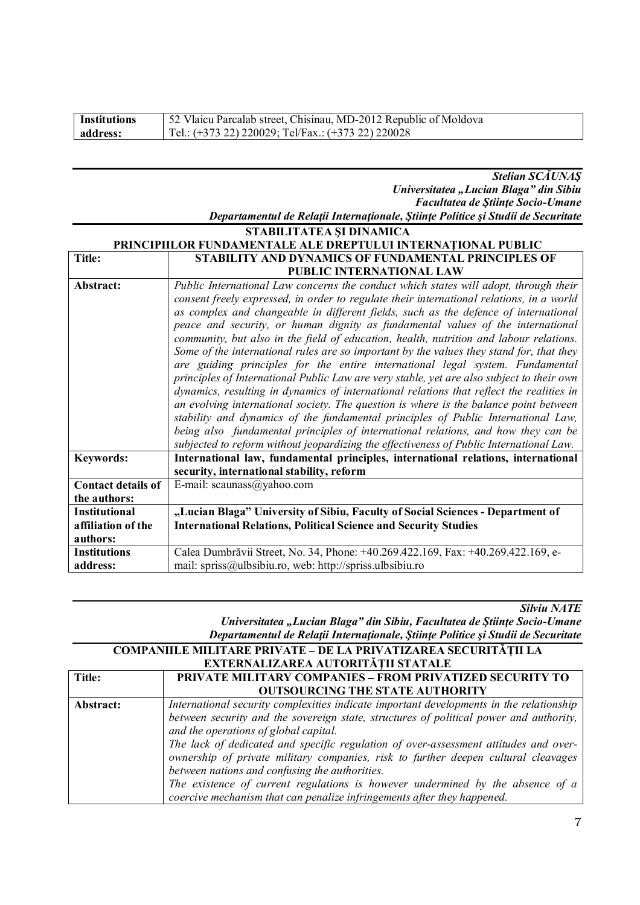| Institutions | 52 Vlaicu Parcalab street, Chisinau, MD-2012 Republic of Moldova |
|--------------|------------------------------------------------------------------|
| address:     | Tel.: $(+373 22) 220029$ ; Tel/Fax.: $(+373 22) 220028$          |

#### *Stelian SCĂUNAŞ Universitatea "Lucian Blaga" din Sibiu Facultatea de Ştiinţe Socio-Umane Departamentul de Relaţii Internaţionale, Ştiinţe Politice şi Studii de Securitate*

| Depuramental de Ketaju Internaționale, științe 1 outice și Statul de Securiulu |
|--------------------------------------------------------------------------------|
| STABILITATEA SI DINAMICA                                                       |

| PRINCIPIILOR FUNDAMENTALE ALE DREPTULUI INTERNAȚIONAL PUBLIC |                                                                                           |
|--------------------------------------------------------------|-------------------------------------------------------------------------------------------|
| <b>Title:</b>                                                | <b>STABILITY AND DYNAMICS OF FUNDAMENTAL PRINCIPLES OF</b>                                |
|                                                              | PUBLIC INTERNATIONAL LAW                                                                  |
| Abstract:                                                    | Public International Law concerns the conduct which states will adopt, through their      |
|                                                              | consent freely expressed, in order to regulate their international relations, in a world  |
|                                                              | as complex and changeable in different fields, such as the defence of international       |
|                                                              | peace and security, or human dignity as fundamental values of the international           |
|                                                              | community, but also in the field of education, health, nutrition and labour relations.    |
|                                                              | Some of the international rules are so important by the values they stand for, that they  |
|                                                              | are guiding principles for the entire international legal system. Fundamental             |
|                                                              | principles of International Public Law are very stable, yet are also subject to their own |
|                                                              | dynamics, resulting in dynamics of international relations that reflect the realities in  |
|                                                              | an evolving international society. The question is where is the balance point between     |
|                                                              | stability and dynamics of the fundamental principles of Public International Law,         |
|                                                              | being also fundamental principles of international relations, and how they can be         |
|                                                              | subjected to reform without jeopardizing the effectiveness of Public International Law.   |
| <b>Keywords:</b>                                             | International law, fundamental principles, international relations, international         |
|                                                              | security, international stability, reform                                                 |
| <b>Contact details of</b>                                    | E-mail: scaunass@yahoo.com                                                                |
| the authors:                                                 |                                                                                           |
| <b>Institutional</b>                                         | "Lucian Blaga" University of Sibiu, Faculty of Social Sciences - Department of            |
| affiliation of the                                           | <b>International Relations, Political Science and Security Studies</b>                    |
| authors:                                                     |                                                                                           |
| <b>Institutions</b>                                          | Calea Dumbrăvii Street, No. 34, Phone: +40.269.422.169, Fax: +40.269.422.169, e-          |
| address:                                                     | mail: spriss@ulbsibiu.ro, web: http://spriss.ulbsibiu.ro                                  |

*Silviu NATE*

*Universitatea "Lucian Blaga" din Sibiu, Facultatea de Ştiinţe Socio-Umane Departamentul de Relaţii Internaţionale, Ştiinţe Politice şi Studii de Securitate*

| <b>COMPANIILE MILITARE PRIVATE – DE LA PRIVATIZAREA SECURITĂȚII LA</b><br>EXTERNALIZAREA AUTORITĂȚII STATALE |                                                                                                                                                                                                                                                                                                                                                                                                                                                                                                                                                                                                                         |
|--------------------------------------------------------------------------------------------------------------|-------------------------------------------------------------------------------------------------------------------------------------------------------------------------------------------------------------------------------------------------------------------------------------------------------------------------------------------------------------------------------------------------------------------------------------------------------------------------------------------------------------------------------------------------------------------------------------------------------------------------|
| Title:                                                                                                       | <b>PRIVATE MILITARY COMPANIES - FROM PRIVATIZED SECURITY TO</b><br><b>OUTSOURCING THE STATE AUTHORITY</b>                                                                                                                                                                                                                                                                                                                                                                                                                                                                                                               |
| Abstract:                                                                                                    | International security complexities indicate important developments in the relationship<br>between security and the sovereign state, structures of political power and authority,<br>and the operations of global capital.<br>The lack of dedicated and specific regulation of over-assessment attitudes and over-<br>ownership of private military companies, risk to further deepen cultural cleavages<br>between nations and confusing the authorities.<br>The existence of current regulations is however undermined by the absence of a<br>coercive mechanism that can penalize infringements after they happened. |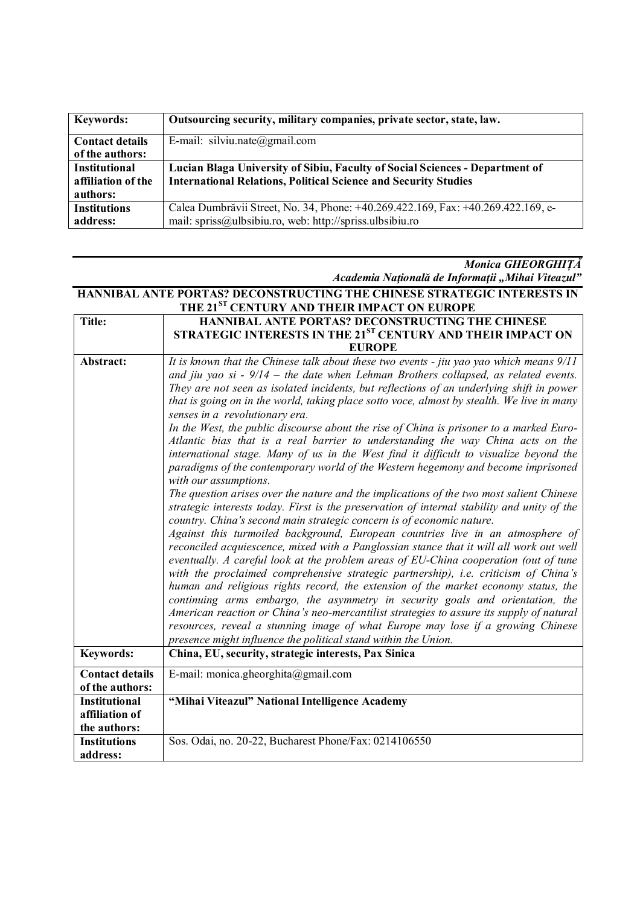| <b>Keywords:</b>       | Outsourcing security, military companies, private sector, state, law.            |
|------------------------|----------------------------------------------------------------------------------|
| <b>Contact details</b> | E-mail: silviu.nate@gmail.com                                                    |
| of the authors:        |                                                                                  |
| <b>Institutional</b>   | Lucian Blaga University of Sibiu, Faculty of Social Sciences - Department of     |
| affiliation of the     | <b>International Relations, Political Science and Security Studies</b>           |
| authors:               |                                                                                  |
| <b>Institutions</b>    | Calea Dumbrăvii Street, No. 34, Phone: +40.269.422.169, Fax: +40.269.422.169, e- |
| address:               | mail: spriss@ulbsibiu.ro, web: http://spriss.ulbsibiu.ro                         |

#### *Monica GHEORGHIȚĂ Academia Naţională de Informaţii "Mihai Viteazul"*

**HANNIBAL ANTE PORTAS? DECONSTRUCTING THE CHINESE STRATEGIC INTERESTS IN** 

|                        | THE 21 <sup>ST</sup> CENTURY AND THEIR IMPACT ON EUROPE                                                                                                                                                                                                                                                                                                                                                                                                                                                                                                                                                                                                                                                                                                                          |
|------------------------|----------------------------------------------------------------------------------------------------------------------------------------------------------------------------------------------------------------------------------------------------------------------------------------------------------------------------------------------------------------------------------------------------------------------------------------------------------------------------------------------------------------------------------------------------------------------------------------------------------------------------------------------------------------------------------------------------------------------------------------------------------------------------------|
| Title:                 | HANNIBAL ANTE PORTAS? DECONSTRUCTING THE CHINESE                                                                                                                                                                                                                                                                                                                                                                                                                                                                                                                                                                                                                                                                                                                                 |
|                        | STRATEGIC INTERESTS IN THE 21 <sup>ST</sup> CENTURY AND THEIR IMPACT ON                                                                                                                                                                                                                                                                                                                                                                                                                                                                                                                                                                                                                                                                                                          |
|                        | <b>EUROPE</b>                                                                                                                                                                                                                                                                                                                                                                                                                                                                                                                                                                                                                                                                                                                                                                    |
| Abstract:              | It is known that the Chinese talk about these two events - jiu yao yao which means 9/11<br>and jiu yao si - $9/14$ – the date when Lehman Brothers collapsed, as related events.                                                                                                                                                                                                                                                                                                                                                                                                                                                                                                                                                                                                 |
|                        | They are not seen as isolated incidents, but reflections of an underlying shift in power                                                                                                                                                                                                                                                                                                                                                                                                                                                                                                                                                                                                                                                                                         |
|                        | that is going on in the world, taking place sotto voce, almost by stealth. We live in many<br>senses in a revolutionary era.                                                                                                                                                                                                                                                                                                                                                                                                                                                                                                                                                                                                                                                     |
|                        | In the West, the public discourse about the rise of China is prisoner to a marked Euro-                                                                                                                                                                                                                                                                                                                                                                                                                                                                                                                                                                                                                                                                                          |
|                        | Atlantic bias that is a real barrier to understanding the way China acts on the<br>international stage. Many of us in the West find it difficult to visualize beyond the                                                                                                                                                                                                                                                                                                                                                                                                                                                                                                                                                                                                         |
|                        | paradigms of the contemporary world of the Western hegemony and become imprisoned<br>with our assumptions.                                                                                                                                                                                                                                                                                                                                                                                                                                                                                                                                                                                                                                                                       |
|                        | The question arises over the nature and the implications of the two most salient Chinese                                                                                                                                                                                                                                                                                                                                                                                                                                                                                                                                                                                                                                                                                         |
|                        | strategic interests today. First is the preservation of internal stability and unity of the<br>country. China's second main strategic concern is of economic nature.                                                                                                                                                                                                                                                                                                                                                                                                                                                                                                                                                                                                             |
|                        | Against this turmoiled background, European countries live in an atmosphere of<br>reconciled acquiescence, mixed with a Panglossian stance that it will all work out well<br>eventually. A careful look at the problem areas of EU-China cooperation (out of tune<br>with the proclaimed comprehensive strategic partnership), i.e. criticism of China's<br>human and religious rights record, the extension of the market economy status, the<br>continuing arms embargo, the asymmetry in security goals and orientation, the<br>American reaction or China's neo-mercantilist strategies to assure its supply of natural<br>resources, reveal a stunning image of what Europe may lose if a growing Chinese<br>presence might influence the political stand within the Union. |
| <b>Keywords:</b>       | China, EU, security, strategic interests, Pax Sinica                                                                                                                                                                                                                                                                                                                                                                                                                                                                                                                                                                                                                                                                                                                             |
| <b>Contact details</b> | E-mail: monica.gheorghita@gmail.com                                                                                                                                                                                                                                                                                                                                                                                                                                                                                                                                                                                                                                                                                                                                              |
| of the authors:        |                                                                                                                                                                                                                                                                                                                                                                                                                                                                                                                                                                                                                                                                                                                                                                                  |
| <b>Institutional</b>   | "Mihai Viteazul" National Intelligence Academy                                                                                                                                                                                                                                                                                                                                                                                                                                                                                                                                                                                                                                                                                                                                   |
| affiliation of         |                                                                                                                                                                                                                                                                                                                                                                                                                                                                                                                                                                                                                                                                                                                                                                                  |
| the authors:           |                                                                                                                                                                                                                                                                                                                                                                                                                                                                                                                                                                                                                                                                                                                                                                                  |
| <b>Institutions</b>    | Sos. Odai, no. 20-22, Bucharest Phone/Fax: 0214106550                                                                                                                                                                                                                                                                                                                                                                                                                                                                                                                                                                                                                                                                                                                            |
| address:               |                                                                                                                                                                                                                                                                                                                                                                                                                                                                                                                                                                                                                                                                                                                                                                                  |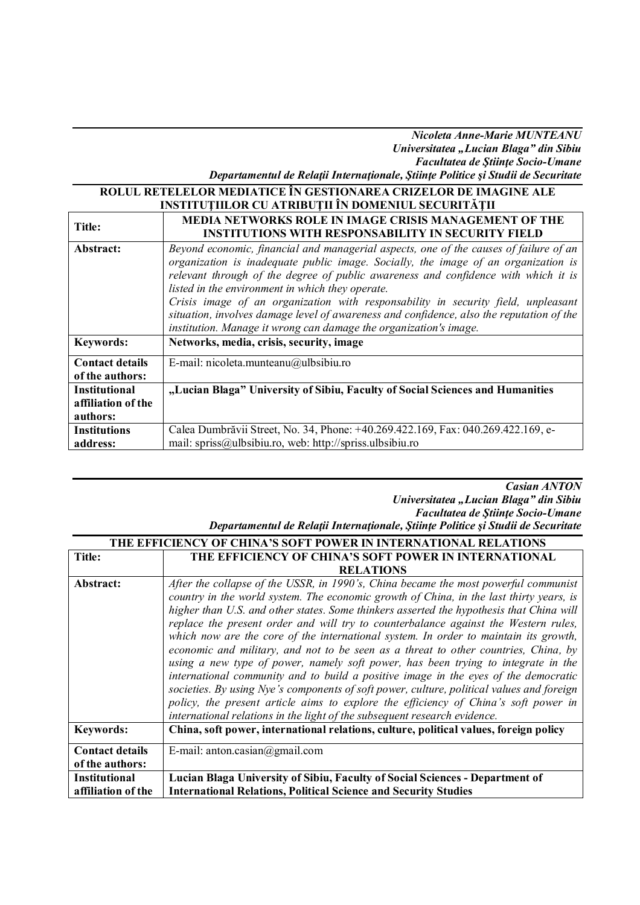#### *Nicoleta Anne-Marie MUNTEANU Universitatea "Lucian Blaga" din Sibiu Facultatea de Ştiinţe Socio-Umane Departamentul de Relaţii Internaţionale, Ştiinţe Politice şi Studii de Securitate*

# **ROLUL RETELELOR MEDIATICE ÎN GESTIONAREA CRIZELOR DE IMAGINE ALE**

| KULUL KETELELUK MEDIATIUE IN GESTIONAKEA UKIZELUK DE IMAGINE ALE |                                                                                                                                                                                                                                                                                                                                                                                                                                                                                                                                                                             |
|------------------------------------------------------------------|-----------------------------------------------------------------------------------------------------------------------------------------------------------------------------------------------------------------------------------------------------------------------------------------------------------------------------------------------------------------------------------------------------------------------------------------------------------------------------------------------------------------------------------------------------------------------------|
|                                                                  | <b>INSTITUTIILOR CU ATRIBUTII ÎN DOMENIUL SECURITĂȚII</b>                                                                                                                                                                                                                                                                                                                                                                                                                                                                                                                   |
| Title:                                                           | <b>MEDIA NETWORKS ROLE IN IMAGE CRISIS MANAGEMENT OF THE</b><br><b>INSTITUTIONS WITH RESPONSABILITY IN SECURITY FIELD</b>                                                                                                                                                                                                                                                                                                                                                                                                                                                   |
| Abstract:                                                        | Beyond economic, financial and managerial aspects, one of the causes of failure of an<br>organization is inadequate public image. Socially, the image of an organization is<br>relevant through of the degree of public awareness and confidence with which it is<br>listed in the environment in which they operate.<br>Crisis image of an organization with responsability in security field, unpleasant<br>situation, involves damage level of awareness and confidence, also the reputation of the<br>institution. Manage it wrong can damage the organization's image. |
| <b>Keywords:</b>                                                 | Networks, media, crisis, security, image                                                                                                                                                                                                                                                                                                                                                                                                                                                                                                                                    |
| <b>Contact details</b><br>of the authors:                        | E-mail: nicoleta.munteanu@ulbsibiu.ro                                                                                                                                                                                                                                                                                                                                                                                                                                                                                                                                       |
| <b>Institutional</b><br>affiliation of the<br>authors:           | "Lucian Blaga" University of Sibiu, Faculty of Social Sciences and Humanities                                                                                                                                                                                                                                                                                                                                                                                                                                                                                               |
| <b>Institutions</b><br>address:                                  | Calea Dumbrăvii Street, No. 34, Phone: +40.269.422.169, Fax: 040.269.422.169, e-<br>mail: spriss@ulbsibiu.ro, web: http://spriss.ulbsibiu.ro                                                                                                                                                                                                                                                                                                                                                                                                                                |

### *Casian ANTON Universitatea "Lucian Blaga" din Sibiu Facultatea de Ştiinţe Socio-Umane*

#### *Departamentul de Relaţii Internaţionale, Ştiinţe Politice şi Studii de Securitate* **THE EFFICIENCY OF CHINA'S SOFT POWER IN INTERNATIONAL RELATIONS**

|                        | LIIE EFFICIENCT OF CHINA 8 80FT FOWER IN INTERNATIONAL RELATIONS                                                                                                                                                                                                                                                                                                                                                                                                                                                                                                                                                                                                                                                                                                                                                                                                                                                 |
|------------------------|------------------------------------------------------------------------------------------------------------------------------------------------------------------------------------------------------------------------------------------------------------------------------------------------------------------------------------------------------------------------------------------------------------------------------------------------------------------------------------------------------------------------------------------------------------------------------------------------------------------------------------------------------------------------------------------------------------------------------------------------------------------------------------------------------------------------------------------------------------------------------------------------------------------|
| Title:                 | THE EFFICIENCY OF CHINA'S SOFT POWER IN INTERNATIONAL                                                                                                                                                                                                                                                                                                                                                                                                                                                                                                                                                                                                                                                                                                                                                                                                                                                            |
|                        | <b>RELATIONS</b>                                                                                                                                                                                                                                                                                                                                                                                                                                                                                                                                                                                                                                                                                                                                                                                                                                                                                                 |
| Abstract:              | After the collapse of the USSR, in 1990's, China became the most powerful communist<br>country in the world system. The economic growth of China, in the last thirty years, is<br>higher than U.S. and other states. Some thinkers asserted the hypothesis that China will<br>replace the present order and will try to counterbalance against the Western rules,<br>which now are the core of the international system. In order to maintain its growth,<br>economic and military, and not to be seen as a threat to other countries, China, by<br>using a new type of power, namely soft power, has been trying to integrate in the<br>international community and to build a positive image in the eyes of the democratic<br>societies. By using Nye's components of soft power, culture, political values and foreign<br>policy, the present article aims to explore the efficiency of China's soft power in |
|                        | international relations in the light of the subsequent research evidence.                                                                                                                                                                                                                                                                                                                                                                                                                                                                                                                                                                                                                                                                                                                                                                                                                                        |
| <b>Keywords:</b>       | China, soft power, international relations, culture, political values, foreign policy                                                                                                                                                                                                                                                                                                                                                                                                                                                                                                                                                                                                                                                                                                                                                                                                                            |
| <b>Contact details</b> | E-mail: anton.casian@gmail.com                                                                                                                                                                                                                                                                                                                                                                                                                                                                                                                                                                                                                                                                                                                                                                                                                                                                                   |
| of the authors:        |                                                                                                                                                                                                                                                                                                                                                                                                                                                                                                                                                                                                                                                                                                                                                                                                                                                                                                                  |
| <b>Institutional</b>   | Lucian Blaga University of Sibiu, Faculty of Social Sciences - Department of                                                                                                                                                                                                                                                                                                                                                                                                                                                                                                                                                                                                                                                                                                                                                                                                                                     |
| affiliation of the     | <b>International Relations, Political Science and Security Studies</b>                                                                                                                                                                                                                                                                                                                                                                                                                                                                                                                                                                                                                                                                                                                                                                                                                                           |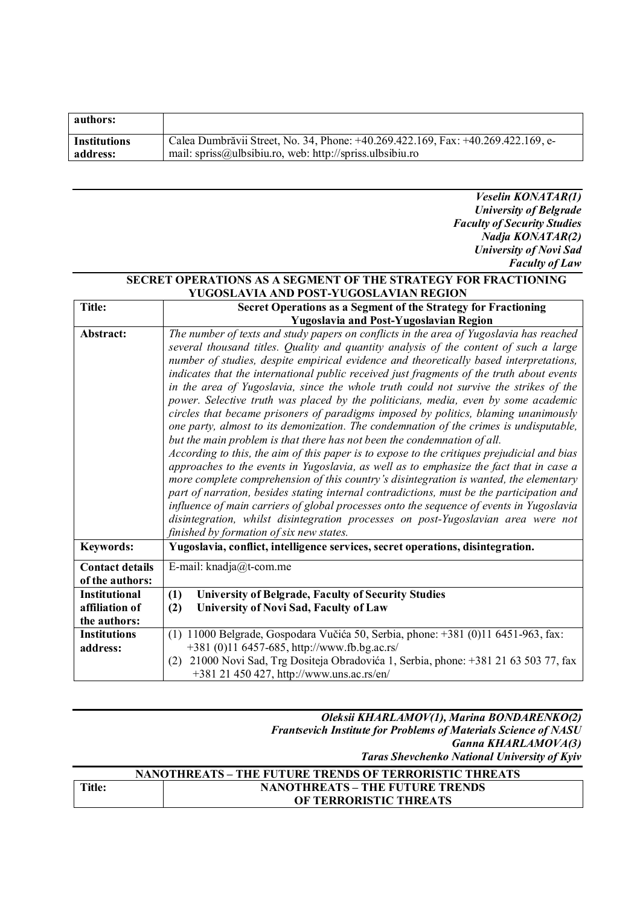| authors:            |                                                                                  |
|---------------------|----------------------------------------------------------------------------------|
| <b>Institutions</b> | Calea Dumbrăvii Street, No. 34, Phone: +40.269.422.169, Fax: +40.269.422.169, e- |
| address:            | mail: spriss@ulbsibiu.ro, web: http://spriss.ulbsibiu.ro                         |

*Veselin KONATAR(1) University of Belgrade Faculty of Security Studies Nadja KONATAR(2) University of Novi Sad Faculty of Law*

٦

#### **SECRET OPERATIONS AS A SEGMENT OF THE STRATEGY FOR FRACTIONING YUGOSLAVIA AND POST-YUGOSLAVIAN REGION Title: Secret Operations as a Segment of the Strategy for Fractioning**

|                                                        | Yugoslavia and Post-Yugoslavian Region                                                                                                                                                                                                                                                                                                                                                                                                                                                                                                                                                                                                                                                                                                                                                                                                                                                                                                                                                                                                                                                                                                                                                                                                                                                                                                                                                                                            |
|--------------------------------------------------------|-----------------------------------------------------------------------------------------------------------------------------------------------------------------------------------------------------------------------------------------------------------------------------------------------------------------------------------------------------------------------------------------------------------------------------------------------------------------------------------------------------------------------------------------------------------------------------------------------------------------------------------------------------------------------------------------------------------------------------------------------------------------------------------------------------------------------------------------------------------------------------------------------------------------------------------------------------------------------------------------------------------------------------------------------------------------------------------------------------------------------------------------------------------------------------------------------------------------------------------------------------------------------------------------------------------------------------------------------------------------------------------------------------------------------------------|
| Abstract:                                              | The number of texts and study papers on conflicts in the area of Yugoslavia has reached<br>several thousand titles. Quality and quantity analysis of the content of such a large<br>number of studies, despite empirical evidence and theoretically based interpretations,<br>indicates that the international public received just fragments of the truth about events<br>in the area of Yugoslavia, since the whole truth could not survive the strikes of the<br>power. Selective truth was placed by the politicians, media, even by some academic<br>circles that became prisoners of paradigms imposed by politics, blaming unanimously<br>one party, almost to its demonization. The condemnation of the crimes is undisputable,<br>but the main problem is that there has not been the condemnation of all.<br>According to this, the aim of this paper is to expose to the critiques prejudicial and bias<br>approaches to the events in Yugoslavia, as well as to emphasize the fact that in case a<br>more complete comprehension of this country's disintegration is wanted, the elementary<br>part of narration, besides stating internal contradictions, must be the participation and<br>influence of main carriers of global processes onto the sequence of events in Yugoslavia<br>disintegration, whilst disintegration processes on post-Yugoslavian area were not<br>finished by formation of six new states. |
| <b>Keywords:</b>                                       | Yugoslavia, conflict, intelligence services, secret operations, disintegration.                                                                                                                                                                                                                                                                                                                                                                                                                                                                                                                                                                                                                                                                                                                                                                                                                                                                                                                                                                                                                                                                                                                                                                                                                                                                                                                                                   |
| <b>Contact details</b><br>of the authors:              | E-mail: knadja@t-com.me                                                                                                                                                                                                                                                                                                                                                                                                                                                                                                                                                                                                                                                                                                                                                                                                                                                                                                                                                                                                                                                                                                                                                                                                                                                                                                                                                                                                           |
| <b>Institutional</b><br>affiliation of<br>the authors: | <b>University of Belgrade, Faculty of Security Studies</b><br>(1)<br>University of Novi Sad, Faculty of Law<br>(2)                                                                                                                                                                                                                                                                                                                                                                                                                                                                                                                                                                                                                                                                                                                                                                                                                                                                                                                                                                                                                                                                                                                                                                                                                                                                                                                |
| <b>Institutions</b><br>address:                        | $(1)$ 11000 Belgrade, Gospodara Vučića 50, Serbia, phone: +381 $(0)$ 11 6451-963, fax:<br>+381 (0)11 6457-685, http://www.fb.bg.ac.rs/<br>21000 Novi Sad, Trg Dositeja Obradovića 1, Serbia, phone: +381 21 63 503 77, fax<br>(2)<br>+381 21 450 427, http://www.uns.ac.rs/en/                                                                                                                                                                                                                                                                                                                                                                                                                                                                                                                                                                                                                                                                                                                                                                                                                                                                                                                                                                                                                                                                                                                                                    |

| Oleksii KHARLAMOV(1), Marina BONDARENKO(2)                             |
|------------------------------------------------------------------------|
| <b>Frantsevich Institute for Problems of Materials Science of NASU</b> |
| Ganna KHARLAMOVA(3)                                                    |
| <b>Taras Shevchenko National University of Kyiv</b>                    |

| NANOTHREATS – THE FUTURE TRENDS OF TERRORISTIC THREATS |                                        |
|--------------------------------------------------------|----------------------------------------|
| <b>Title:</b>                                          | <b>NANOTHREATS – THE FUTURE TRENDS</b> |
|                                                        | OF TERRORISTIC THREATS                 |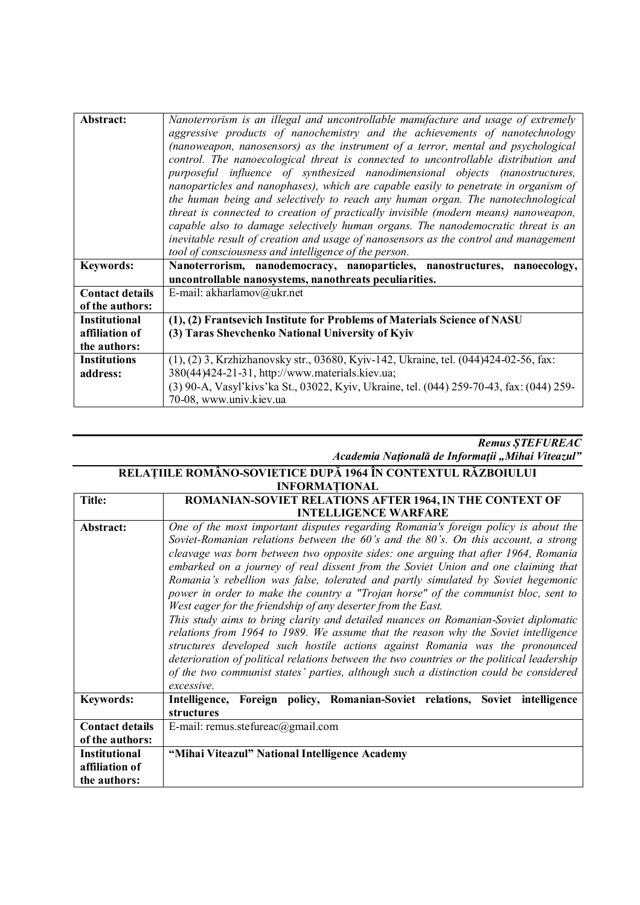| Abstract:              | Nanoterrorism is an illegal and uncontrollable manufacture and usage of extremely                                   |
|------------------------|---------------------------------------------------------------------------------------------------------------------|
|                        | aggressive products of nanochemistry and the achievements of nanotechnology                                         |
|                        | (nanoweapon, nanosensors) as the instrument of a terror, mental and psychological                                   |
|                        | control. The nanoecological threat is connected to uncontrollable distribution and                                  |
|                        | purposeful influence of synthesized nanodimensional objects (nanostructures,                                        |
|                        | nanoparticles and nanophases), which are capable easily to penetrate in organism of                                 |
|                        | the human being and selectively to reach any human organ. The nanotechnological                                     |
|                        | threat is connected to creation of practically invisible (modern means) nanoweapon,                                 |
|                        | capable also to damage selectively human organs. The nanodemocratic threat is an                                    |
|                        | inevitable result of creation and usage of nanosensors as the control and management                                |
|                        | tool of consciousness and intelligence of the person.                                                               |
| <b>Keywords:</b>       | Nanoterrorism, nanodemocracy, nanoparticles, nanostructures, nanoecology,                                           |
|                        | uncontrollable nanosystems, nanothreats peculiarities.                                                              |
| <b>Contact details</b> | E-mail: akharlamov@ukr.net                                                                                          |
| of the authors:        |                                                                                                                     |
| <b>Institutional</b>   | (1), (2) Frantsevich Institute for Problems of Materials Science of NASU                                            |
| affiliation of         |                                                                                                                     |
|                        | (3) Taras Shevchenko National University of Kyiv                                                                    |
| the authors:           |                                                                                                                     |
| <b>Institutions</b>    | $(1)$ , $(2)$ 3, Krzhizhanovsky str., 03680, Kyiv-142, Ukraine, tel. $(044)424-02-56$ , fax:                        |
| address:               | 380(44)424-21-31, http://www.materials.kiev.ua;                                                                     |
|                        | (3) 90-A, Vasyl'kivs'ka St., 03022, Kyiv, Ukraine, tel. (044) 259-70-43, fax: (044) 259-<br>70-08, www.univ.kiev.ua |

| <b>Remus STEFUREAC</b>                            |  |
|---------------------------------------------------|--|
| Academia Națională de Informații "Mihai Viteazul" |  |

#### **RELAȚIILE ROMÂNO-SOVIETICE DUPĂ 1964 ÎN CONTEXTUL RĂZBOIULUI INFORMAȚIONAL**

| <b>Title:</b>          | <b>ROMANIAN-SOVIET RELATIONS AFTER 1964, IN THE CONTEXT OF</b>                                                                                                                                                                                                                                                                                                                                                                                                                                                                                                                                                                                                                                                                                                                                                                                                                                                                                                                                                                                                   |
|------------------------|------------------------------------------------------------------------------------------------------------------------------------------------------------------------------------------------------------------------------------------------------------------------------------------------------------------------------------------------------------------------------------------------------------------------------------------------------------------------------------------------------------------------------------------------------------------------------------------------------------------------------------------------------------------------------------------------------------------------------------------------------------------------------------------------------------------------------------------------------------------------------------------------------------------------------------------------------------------------------------------------------------------------------------------------------------------|
|                        | <b>INTELLIGENCE WARFARE</b>                                                                                                                                                                                                                                                                                                                                                                                                                                                                                                                                                                                                                                                                                                                                                                                                                                                                                                                                                                                                                                      |
| Abstract:              | One of the most important disputes regarding Romania's foreign policy is about the<br>Soviet-Romanian relations between the 60's and the 80's. On this account, a strong<br>cleavage was born between two opposite sides: one arguing that after 1964, Romania<br>embarked on a journey of real dissent from the Soviet Union and one claiming that<br>Romania's rebellion was false, tolerated and partly simulated by Soviet hegemonic<br>power in order to make the country a "Trojan horse" of the communist bloc, sent to<br>West eager for the friendship of any deserter from the East.<br>This study aims to bring clarity and detailed nuances on Romanian-Soviet diplomatic<br>relations from 1964 to 1989. We assume that the reason why the Soviet intelligence<br>structures developed such hostile actions against Romania was the pronounced<br>deterioration of political relations between the two countries or the political leadership<br>of the two communist states' parties, although such a distinction could be considered<br>excessive. |
| <b>Keywords:</b>       | Intelligence, Foreign policy, Romanian-Soviet relations, Soviet intelligence<br>structures                                                                                                                                                                                                                                                                                                                                                                                                                                                                                                                                                                                                                                                                                                                                                                                                                                                                                                                                                                       |
| <b>Contact details</b> | E-mail: remus.stefureac@gmail.com                                                                                                                                                                                                                                                                                                                                                                                                                                                                                                                                                                                                                                                                                                                                                                                                                                                                                                                                                                                                                                |
| of the authors:        |                                                                                                                                                                                                                                                                                                                                                                                                                                                                                                                                                                                                                                                                                                                                                                                                                                                                                                                                                                                                                                                                  |
| <b>Institutional</b>   | "Mihai Viteazul" National Intelligence Academy                                                                                                                                                                                                                                                                                                                                                                                                                                                                                                                                                                                                                                                                                                                                                                                                                                                                                                                                                                                                                   |
| affiliation of         |                                                                                                                                                                                                                                                                                                                                                                                                                                                                                                                                                                                                                                                                                                                                                                                                                                                                                                                                                                                                                                                                  |
| the authors:           |                                                                                                                                                                                                                                                                                                                                                                                                                                                                                                                                                                                                                                                                                                                                                                                                                                                                                                                                                                                                                                                                  |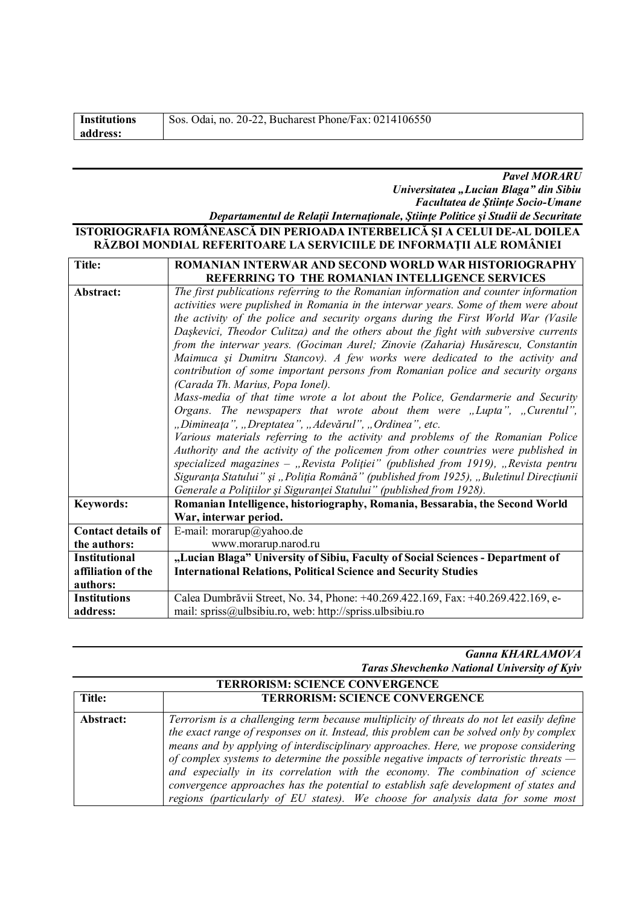| <b>Institutions</b> | Sos. Odai, no. 20-22, Bucharest Phone/Fax: 0214106550 |
|---------------------|-------------------------------------------------------|
| address:            |                                                       |
|                     |                                                       |

*Pavel MORARU Universitatea "Lucian Blaga" din Sibiu Facultatea de Ştiinţe Socio-Umane Departamentul de Relaţii Internaţionale, Ştiinţe Politice şi Studii de Securitate*

### **ISTORIOGRAFIA ROMÂNEASCĂ DIN PERIOADA INTERBELICĂ ŞI A CELUI DE-AL DOILEA RĂZBOI MONDIAL REFERITOARE LA SERVICIILE DE INFORMAŢII ALE ROMÂNIEI**

| Title:                    | ROMANIAN INTERWAR AND SECOND WORLD WAR HISTORIOGRAPHY                                 |
|---------------------------|---------------------------------------------------------------------------------------|
|                           | REFERRING TO THE ROMANIAN INTELLIGENCE SERVICES                                       |
| Abstract:                 | The first publications referring to the Romanian information and counter information  |
|                           | activities were puplished in Romania in the interwar years. Some of them were about   |
|                           | the activity of the police and security organs during the First World War (Vasile     |
|                           | Daşkevici, Theodor Culitza) and the others about the fight with subversive currents   |
|                           | from the interwar years. (Gociman Aurel; Zinovie (Zaharia) Husărescu, Constantin      |
|                           | Maimuca și Dumitru Stancov). A few works were dedicated to the activity and           |
|                           | contribution of some important persons from Romanian police and security organs       |
|                           | (Carada Th. Marius, Popa Ionel).                                                      |
|                           | Mass-media of that time wrote a lot about the Police, Gendarmerie and Security        |
|                           | Organs. The newspapers that wrote about them were "Lupta", "Curentul",                |
|                           | "Dimineața", "Dreptatea", "Adevărul", "Ordinea", etc.                                 |
|                           | Various materials referring to the activity and problems of the Romanian Police       |
|                           | Authority and the activity of the policemen from other countries were published in    |
|                           | specialized magazines - "Revista Poliției" (published from 1919), "Revista pentru     |
|                           | Siguranța Statului" și "Poliția Română" (published from 1925), "Buletinul Direcțiunii |
|                           | Generale a Polițiilor și Siguranței Statului" (published from 1928).                  |
| <b>Keywords:</b>          | Romanian Intelligence, historiography, Romania, Bessarabia, the Second World          |
|                           | War, interwar period.                                                                 |
| <b>Contact details of</b> | E-mail: morarup@yahoo.de                                                              |
| the authors:              | www.morarup.narod.ru                                                                  |
| <b>Institutional</b>      | "Lucian Blaga" University of Sibiu, Faculty of Social Sciences - Department of        |
| affiliation of the        | <b>International Relations, Political Science and Security Studies</b>                |
| authors:                  |                                                                                       |
| <b>Institutions</b>       | Calea Dumbrăvii Street, No. 34, Phone: +40.269.422.169, Fax: +40.269.422.169, e-      |
| address:                  | mail: spriss@ulbsibiu.ro, web: http://spriss.ulbsibiu.ro                              |

#### *Ganna KHARLAMOVA Taras Shevchenko National University of Kyiv*

| <b>TERRORISM: SCIENCE CONVERGENCE</b> |                                                                                                                                                                                                                                                                                                                                                                                                                                                                                                                                                                                                                                    |
|---------------------------------------|------------------------------------------------------------------------------------------------------------------------------------------------------------------------------------------------------------------------------------------------------------------------------------------------------------------------------------------------------------------------------------------------------------------------------------------------------------------------------------------------------------------------------------------------------------------------------------------------------------------------------------|
| Title:                                | <b>TERRORISM: SCIENCE CONVERGENCE</b>                                                                                                                                                                                                                                                                                                                                                                                                                                                                                                                                                                                              |
| Abstract:                             | Terrorism is a challenging term because multiplicity of threats do not let easily define<br>the exact range of responses on it. Instead, this problem can be solved only by complex<br>means and by applying of interdisciplinary approaches. Here, we propose considering<br>of complex systems to determine the possible negative impacts of terroristic threats $-$<br>and especially in its correlation with the economy. The combination of science<br>convergence approaches has the potential to establish safe development of states and<br>regions (particularly of EU states). We choose for analysis data for some most |